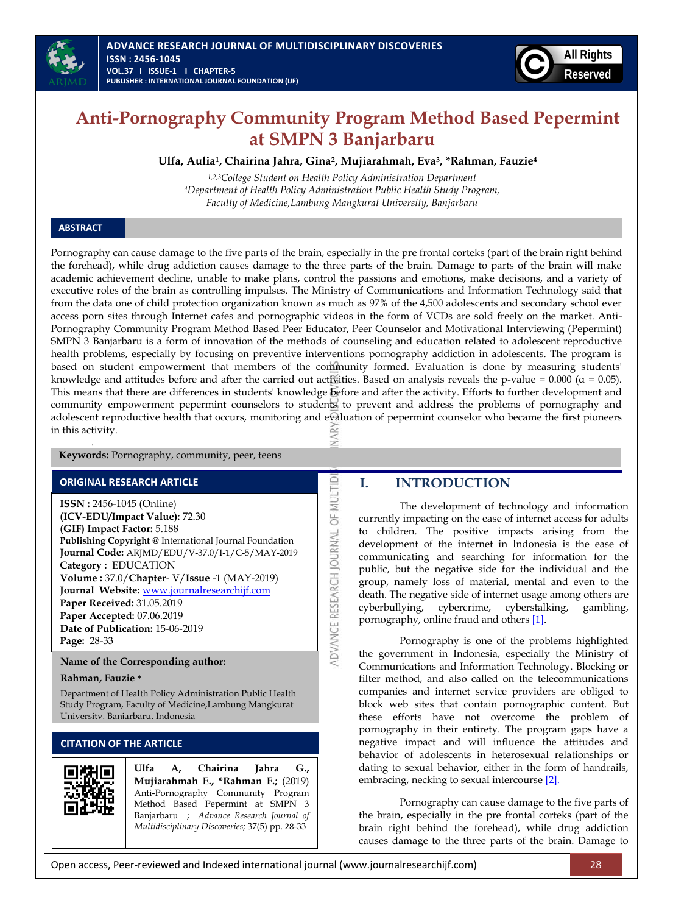



# **Anti-Pornography Community Program Method Based Pepermint at SMPN 3 Banjarbaru**

**Ulfa, Aulia<sup>1</sup> , Chairina Jahra, Gina<sup>2</sup> , Mujiarahmah, Eva<sup>3</sup> , \*Rahman, Fauzie<sup>4</sup>**

*1,2,3College Student on Health Policy Administration Department <sup>4</sup>Department of Health Policy Administration Public Health Study Program, Faculty of Medicine,Lambung Mangkurat University, Banjarbaru*

### **ABSTRACT**

Pornography can cause damage to the five parts of the brain, especially in the pre frontal corteks (part of the brain right behind the forehead), while drug addiction causes damage to the three parts of the brain. Damage to parts of the brain will make academic achievement decline, unable to make plans, control the passions and emotions, make decisions, and a variety of executive roles of the brain as controlling impulses. The Ministry of Communications and Information Technology said that from the data one of child protection organization known as much as 97% of the 4,500 adolescents and secondary school ever access porn sites through Internet cafes and pornographic videos in the form of VCDs are sold freely on the market. Anti-Pornography Community Program Method Based Peer Educator, Peer Counselor and Motivational Interviewing (Pepermint) SMPN 3 Banjarbaru is a form of innovation of the methods of counseling and education related to adolescent reproductive health problems, especially by focusing on preventive interventions pornography addiction in adolescents. The program is based on student empowerment that members of the community formed. Evaluation is done by measuring students' knowledge and attitudes before and after the carried out activities. Based on analysis reveals the p-value =  $0.000$  ( $\alpha$  = 0.05). This means that there are differences in students' knowledge before and after the activity. Efforts to further development and community empowerment pepermint counselors to students to prevent and address the problems of pornography and adolescent reproductive health that occurs, monitoring and evaluation of pepermint counselor who became the first pioneers in this activity. ≸

ADVANCE RESEARCH JOURNAL OF MULTID

**Keywords:** Pornography, community, peer, teens

#### **ORIGINAL RESEARCH ARTICLE**

*.* 

**ISSN :** 2456-1045 (Online) **(ICV-EDU/Impact Value):** 72.30 **(GIF) Impact Factor:** 5.188 **Publishing Copyright @** International Journal Foundation **Journal Code:** ARJMD/EDU/V-37.0/I-1/C-5/MAY-2019 **Category :** EDUCATION **Volume :** 37.0/**Chapter**- V/**Issue** -1 (MAY-2019) **Journal Website:** [www.journalresearchijf.com](http://www.journalresearchijf.com/) **Paper Received:** 31.05.2019 **Paper Accepted:** 07.06.2019 **Date of Publication:** 15-06-2019 **Page:** 28-33

**Name of the Corresponding author:**

#### **Rahman, Fauzie \***

Department of Health Policy Administration Public Health Study Program, Faculty of Medicine,Lambung Mangkurat University, Banjarbaru, Indonesia

# **CITATION OF THE ARTICLE**



**Ulfa A, Chairina Jahra G., Mujiarahmah E., \*Rahman F.;** (2019) Anti-Pornography Community Program Method Based Pepermint at SMPN 3 Banjarbaru ; *Advance Research Journal of Multidisciplinary Discoveries;* 37(5) pp. 28-33

#### **I. INTRODUCTION**

The development of technology and information currently impacting on the ease of internet access for adults to children. The positive impacts arising from the development of the internet in Indonesia is the ease of communicating and searching for information for the public, but the negative side for the individual and the group, namely loss of material, mental and even to the death. The negative side of internet usage among others are cyberbullying, cybercrime, cyberstalking, gambling, pornography, online fraud and others [\[1\].](#page-4-0)

Pornography is one of the problems highlighted the government in Indonesia, especially the Ministry of Communications and Information Technology. Blocking or filter method, and also called on the telecommunications companies and internet service providers are obliged to block web sites that contain pornographic content. But these efforts have not overcome the problem of pornography in their entirety. The program gaps have a negative impact and will influence the attitudes and behavior of adolescents in heterosexual relationships or dating to sexual behavior, either in the form of handrails, embracing, necking to sexual intercourse [\[2\].](#page-4-1)

Pornography can cause damage to the five parts of the brain, especially in the pre frontal corteks (part of the brain right behind the forehead), while drug addiction causes damage to the three parts of the brain. Damage to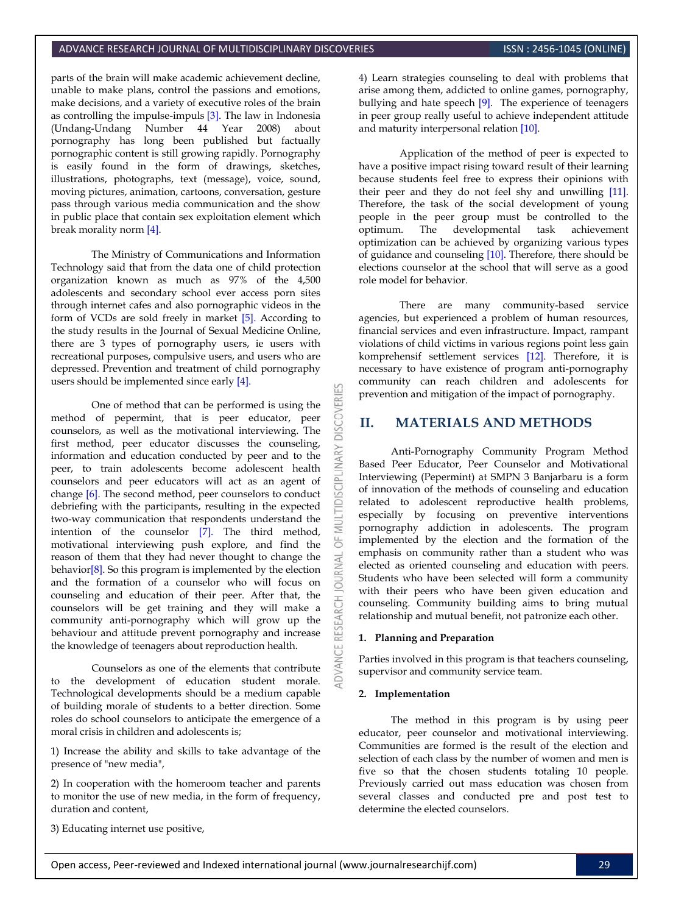parts of the brain will make academic achievement decline, unable to make plans, control the passions and emotions, make decisions, and a variety of executive roles of the brain as controlling the impulse-impuls [\[3\].](#page-4-2) The law in Indonesia (Undang-Undang Number 44 Year 2008) about pornography has long been published but factually pornographic content is still growing rapidly. Pornography is easily found in the form of drawings, sketches, illustrations, photographs, text (message), voice, sound, moving pictures, animation, cartoons, conversation, gesture pass through various media communication and the show in public place that contain sex exploitation element which break morality norm [\[4\].](#page-4-3)

The Ministry of Communications and Information Technology said that from the data one of child protection organization known as much as 97% of the 4,500 adolescents and secondary school ever access porn sites through internet cafes and also pornographic videos in the form of VCDs are sold freely in market [\[5\].](#page-4-4) According to the study results in the Journal of Sexual Medicine Online, there are 3 types of pornography users, ie users with recreational purposes, compulsive users, and users who are depressed. Prevention and treatment of child pornography users should be implemented since early [\[4\].](#page-4-3)

One of method that can be performed is using the method of pepermint, that is peer educator, peer counselors, as well as the motivational interviewing. The first method, peer educator discusses the counseling, information and education conducted by peer and to the peer, to train adolescents become adolescent health counselors and peer educators will act as an agent of change [\[6\].](#page-4-5) The second method, peer counselors to conduct debriefing with the participants, resulting in the expected two-way communication that respondents understand the intention of the counselor [\[7\].](#page-4-6) The third method, motivational interviewing push explore, and find the reason of them that they had never thought to change the behavio[r\[8\].](#page-5-0) So this program is implemented by the election and the formation of a counselor who will focus on counseling and education of their peer. After that, the counselors will be get training and they will make a community anti-pornography which will grow up the behaviour and attitude prevent pornography and increase the knowledge of teenagers about reproduction health.

Counselors as one of the elements that contribute to the development of education student morale. Technological developments should be a medium capable of building morale of students to a better direction. Some roles do school counselors to anticipate the emergence of a moral crisis in children and adolescents is;

1) Increase the ability and skills to take advantage of the presence of "new media",

2) In cooperation with the homeroom teacher and parents to monitor the use of new media, in the form of frequency, duration and content,

3) Educating internet use positive,

4) Learn strategies counseling to deal with problems that arise among them, addicted to online games, pornography, bullying and hate speech [\[9\].](#page-5-1) The experience of teenagers in peer group really useful to achieve independent attitude and maturity interpersonal relation [\[10\].](#page-5-2)

Application of the method of peer is expected to have a positive impact rising toward result of their learning because students feel free to express their opinions with their peer and they do not feel shy and unwilling [\[11\].](#page-5-3)  Therefore, the task of the social development of young people in the peer group must be controlled to the optimum. The developmental task achievement optimization can be achieved by organizing various types of guidance and counseling [\[10\].](#page-5-2) Therefore, there should be elections counselor at the school that will serve as a good role model for behavior.

There are many community-based service agencies, but experienced a problem of human resources, financial services and even infrastructure. Impact, rampant violations of child victims in various regions point less gain komprehensif settlement services [\[12\].](#page-5-4) Therefore, it is necessary to have existence of program anti-pornography community can reach children and adolescents for prevention and mitigation of the impact of pornography.

# **II. MATERIALS AND METHODS**

Anti-Pornography Community Program Method Based Peer Educator, Peer Counselor and Motivational Interviewing (Pepermint) at SMPN 3 Banjarbaru is a form of innovation of the methods of counseling and education related to adolescent reproductive health problems, especially by focusing on preventive interventions pornography addiction in adolescents. The program implemented by the election and the formation of the emphasis on community rather than a student who was elected as oriented counseling and education with peers. Students who have been selected will form a community with their peers who have been given education and counseling. Community building aims to bring mutual relationship and mutual benefit, not patronize each other.

#### **1. Planning and Preparation**

Parties involved in this program is that teachers counseling, supervisor and community service team.

#### **2. Implementation**

**DISCOVERI** 

INARY

**DISCIPL** 

5 **JRNAL**  $\overline{a}$ 

> The method in this program is by using peer educator, peer counselor and motivational interviewing. Communities are formed is the result of the election and selection of each class by the number of women and men is five so that the chosen students totaling 10 people. Previously carried out mass education was chosen from several classes and conducted pre and post test to determine the elected counselors.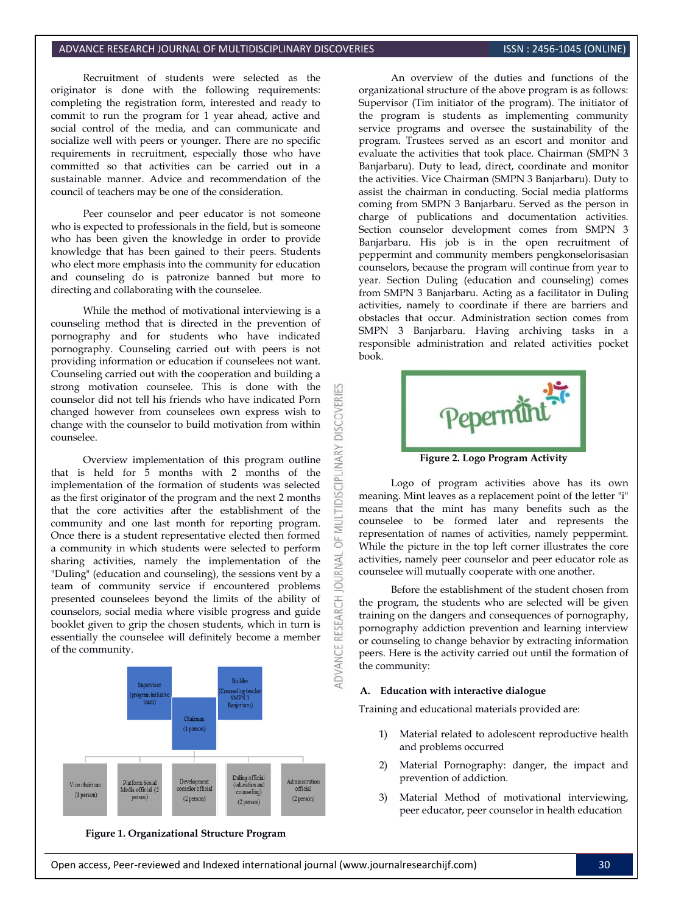#### ADVANCE RESEARCH JOURNAL OF MULTIDISCIPLINARY DISCOVERIES **INC. AND SEE ALSO ASSAULT AND SERVICE ASS** (ONLINE)

Recruitment of students were selected as the originator is done with the following requirements: completing the registration form, interested and ready to commit to run the program for 1 year ahead, active and social control of the media, and can communicate and socialize well with peers or younger. There are no specific requirements in recruitment, especially those who have committed so that activities can be carried out in a sustainable manner. Advice and recommendation of the council of teachers may be one of the consideration.

Peer counselor and peer educator is not someone who is expected to professionals in the field, but is someone who has been given the knowledge in order to provide knowledge that has been gained to their peers. Students who elect more emphasis into the community for education and counseling do is patronize banned but more to directing and collaborating with the counselee.

While the method of motivational interviewing is a counseling method that is directed in the prevention of pornography and for students who have indicated pornography. Counseling carried out with peers is not providing information or education if counselees not want. Counseling carried out with the cooperation and building a strong motivation counselee. This is done with the counselor did not tell his friends who have indicated Porn changed however from counselees own express wish to change with the counselor to build motivation from within counselee.

**DISCOVERI** 

**IDISCIPLINARY** 

 $\overline{0}$ 

Overview implementation of this program outline that is held for 5 months with 2 months of the implementation of the formation of students was selected as the first originator of the program and the next 2 months that the core activities after the establishment of the community and one last month for reporting program. Once there is a student representative elected then formed a community in which students were selected to perform sharing activities, namely the implementation of the "Duling" (education and counseling), the sessions vent by a team of community service if encountered problems presented counselees beyond the limits of the ability of counselors, social media where visible progress and guide booklet given to grip the chosen students, which in turn is essentially the counselee will definitely become a member of the community.



**Figure 1. Organizational Structure Program**

An overview of the duties and functions of the organizational structure of the above program is as follows: Supervisor (Tim initiator of the program). The initiator of the program is students as implementing community service programs and oversee the sustainability of the program. Trustees served as an escort and monitor and evaluate the activities that took place. Chairman (SMPN 3 Banjarbaru). Duty to lead, direct, coordinate and monitor the activities. Vice Chairman (SMPN 3 Banjarbaru). Duty to assist the chairman in conducting. Social media platforms coming from SMPN 3 Banjarbaru. Served as the person in charge of publications and documentation activities. Section counselor development comes from SMPN 3 Banjarbaru. His job is in the open recruitment of peppermint and community members pengkonselorisasian counselors, because the program will continue from year to year. Section Duling (education and counseling) comes from SMPN 3 Banjarbaru. Acting as a facilitator in Duling activities, namely to coordinate if there are barriers and obstacles that occur. Administration section comes from SMPN 3 Banjarbaru. Having archiving tasks in a responsible administration and related activities pocket book.



**Figure 2. Logo Program Activity**

Logo of program activities above has its own meaning. Mint leaves as a replacement point of the letter "i" means that the mint has many benefits such as the counselee to be formed later and represents the representation of names of activities, namely peppermint. While the picture in the top left corner illustrates the core activities, namely peer counselor and peer educator role as counselee will mutually cooperate with one another.

Before the establishment of the student chosen from the program, the students who are selected will be given training on the dangers and consequences of pornography, pornography addiction prevention and learning interview or counseling to change behavior by extracting information peers. Here is the activity carried out until the formation of the community:

#### **A. Education with interactive dialogue**

Training and educational materials provided are:

- 1) Material related to adolescent reproductive health and problems occurred
- 2) Material Pornography: danger, the impact and prevention of addiction.
- 3) Material Method of motivational interviewing, peer educator, peer counselor in health education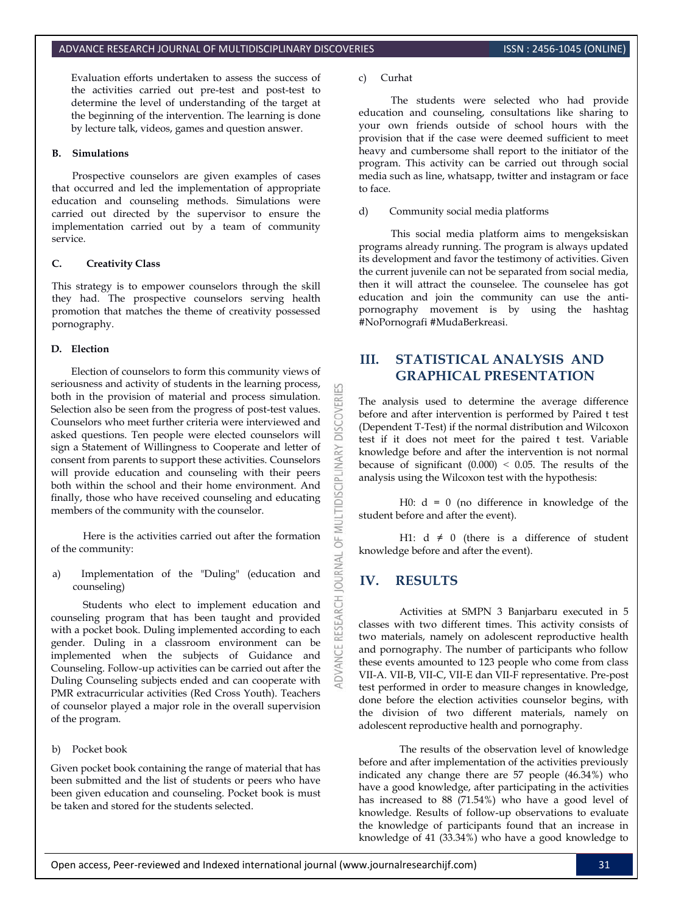Evaluation efforts undertaken to assess the success of the activities carried out pre-test and post-test to determine the level of understanding of the target at the beginning of the intervention. The learning is done by lecture talk, videos, games and question answer.

#### **B. Simulations**

Prospective counselors are given examples of cases that occurred and led the implementation of appropriate education and counseling methods. Simulations were carried out directed by the supervisor to ensure the implementation carried out by a team of community service.

#### **C. Creativity Class**

This strategy is to empower counselors through the skill they had. The prospective counselors serving health promotion that matches the theme of creativity possessed pornography.

#### **D. Election**

Election of counselors to form this community views of seriousness and activity of students in the learning process, both in the provision of material and process simulation. Selection also be seen from the progress of post-test values. Counselors who meet further criteria were interviewed and asked questions. Ten people were elected counselors will sign a Statement of Willingness to Cooperate and letter of consent from parents to support these activities. Counselors will provide education and counseling with their peers both within the school and their home environment. And finally, those who have received counseling and educating members of the community with the counselor.

Here is the activities carried out after the formation of the community:

a) Implementation of the "Duling" (education and counseling)

Students who elect to implement education and counseling program that has been taught and provided with a pocket book. Duling implemented according to each gender. Duling in a classroom environment can be implemented when the subjects of Guidance and Counseling. Follow-up activities can be carried out after the Duling Counseling subjects ended and can cooperate with PMR extracurricular activities (Red Cross Youth). Teachers of counselor played a major role in the overall supervision of the program.

#### b) Pocket book

Given pocket book containing the range of material that has been submitted and the list of students or peers who have been given education and counseling. Pocket book is must be taken and stored for the students selected.

#### c) Curhat

The students were selected who had provide education and counseling, consultations like sharing to your own friends outside of school hours with the provision that if the case were deemed sufficient to meet heavy and cumbersome shall report to the initiator of the program. This activity can be carried out through social media such as line, whatsapp, twitter and instagram or face to face.

#### d) Community social media platforms

This social media platform aims to mengeksiskan programs already running. The program is always updated its development and favor the testimony of activities. Given the current juvenile can not be separated from social media, then it will attract the counselee. The counselee has got education and join the community can use the antipornography movement is by using the hashtag #NoPornografi #MudaBerkreasi.

# **III. STATISTICAL ANALYSIS AND GRAPHICAL PRESENTATION**

The analysis used to determine the average difference before and after intervention is performed by Paired t test (Dependent T-Test) if the normal distribution and Wilcoxon test if it does not meet for the paired t test. Variable knowledge before and after the intervention is not normal because of significant  $(0.000) < 0.05$ . The results of the analysis using the Wilcoxon test with the hypothesis:

H0:  $d = 0$  (no difference in knowledge of the student before and after the event).

H1:  $d \neq 0$  (there is a difference of student knowledge before and after the event).

# **IV. RESULTS**

**DISCOVERI** 

INARY

**IDISCIPLI** 

5

RNAL 5

> Activities at SMPN 3 Banjarbaru executed in 5 classes with two different times. This activity consists of two materials, namely on adolescent reproductive health and pornography. The number of participants who follow these events amounted to 123 people who come from class VII-A. VII-B, VII-C, VII-E dan VII-F representative. Pre-post test performed in order to measure changes in knowledge, done before the election activities counselor begins, with the division of two different materials, namely on adolescent reproductive health and pornography.

> The results of the observation level of knowledge before and after implementation of the activities previously indicated any change there are 57 people (46.34%) who have a good knowledge, after participating in the activities has increased to 88 (71.54%) who have a good level of knowledge. Results of follow-up observations to evaluate the knowledge of participants found that an increase in knowledge of 41 (33.34%) who have a good knowledge to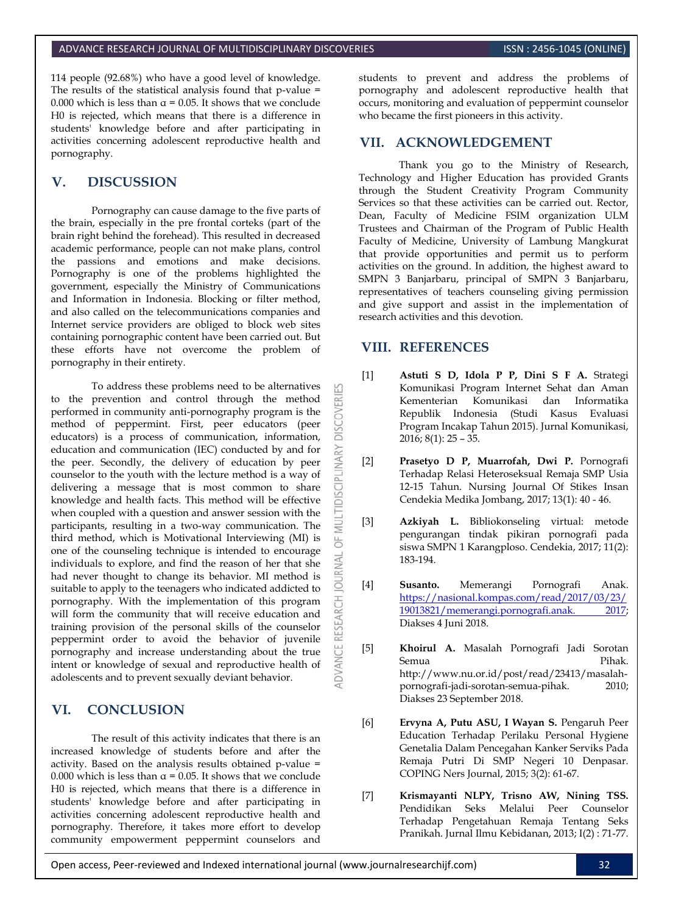114 people (92.68%) who have a good level of knowledge. The results of the statistical analysis found that p-value = 0.000 which is less than  $\alpha$  = 0.05. It shows that we conclude H0 is rejected, which means that there is a difference in students' knowledge before and after participating in activities concerning adolescent reproductive health and pornography.

# **V. DISCUSSION**

Pornography can cause damage to the five parts of the brain, especially in the pre frontal corteks (part of the brain right behind the forehead). This resulted in decreased academic performance, people can not make plans, control the passions and emotions and make decisions. Pornography is one of the problems highlighted the government, especially the Ministry of Communications and Information in Indonesia. Blocking or filter method, and also called on the telecommunications companies and Internet service providers are obliged to block web sites containing pornographic content have been carried out. But these efforts have not overcome the problem of pornography in their entirety.

To address these problems need to be alternatives to the prevention and control through the method performed in community anti-pornography program is the method of peppermint. First, peer educators (peer educators) is a process of communication, information, education and communication (IEC) conducted by and for the peer. Secondly, the delivery of education by peer counselor to the youth with the lecture method is a way of delivering a message that is most common to share knowledge and health facts. This method will be effective when coupled with a question and answer session with the participants, resulting in a two-way communication. The third method, which is Motivational Interviewing (MI) is one of the counseling technique is intended to encourage individuals to explore, and find the reason of her that she had never thought to change its behavior. MI method is suitable to apply to the teenagers who indicated addicted to pornography. With the implementation of this program will form the community that will receive education and training provision of the personal skills of the counselor peppermint order to avoid the behavior of juvenile pornography and increase understanding about the true intent or knowledge of sexual and reproductive health of adolescents and to prevent sexually deviant behavior.

# **VI. CONCLUSION**

The result of this activity indicates that there is an increased knowledge of students before and after the activity. Based on the analysis results obtained p-value = 0.000 which is less than  $\alpha$  = 0.05. It shows that we conclude H0 is rejected, which means that there is a difference in students' knowledge before and after participating in activities concerning adolescent reproductive health and pornography. Therefore, it takes more effort to develop community empowerment peppermint counselors and students to prevent and address the problems of pornography and adolescent reproductive health that occurs, monitoring and evaluation of peppermint counselor who became the first pioneers in this activity.

# **VII. ACKNOWLEDGEMENT**

Thank you go to the Ministry of Research, Technology and Higher Education has provided Grants through the Student Creativity Program Community Services so that these activities can be carried out. Rector, Dean, Faculty of Medicine FSIM organization ULM Trustees and Chairman of the Program of Public Health Faculty of Medicine, University of Lambung Mangkurat that provide opportunities and permit us to perform activities on the ground. In addition, the highest award to SMPN 3 Banjarbaru, principal of SMPN 3 Banjarbaru, representatives of teachers counseling giving permission and give support and assist in the implementation of research activities and this devotion.

### **VIII. REFERENCES**

53

**DISCOVERI** 

MULTIDISCIPLINARY

bF<sub>1</sub>

**JOURNAL** 

**ADVANCE RESEARCH** 

- <span id="page-4-0"></span>[1] **Astuti S D, Idola P P, Dini S F A.** Strategi Komunikasi Program Internet Sehat dan Aman Kementerian Komunikasi dan Informatika Republik Indonesia (Studi Kasus Evaluasi Program Incakap Tahun 2015). Jurnal Komunikasi, 2016; 8(1): 25 – 35.
- <span id="page-4-1"></span>[2] **Prasetyo D P, Muarrofah, Dwi P.** Pornografi Terhadap Relasi Heteroseksual Remaja SMP Usia 12-15 Tahun. Nursing Journal Of Stikes Insan Cendekia Medika Jombang, 2017; 13(1): 40 - 46.
- <span id="page-4-2"></span>[3] **Azkiyah L.** Bibliokonseling virtual: metode pengurangan tindak pikiran pornografi pada siswa SMPN 1 Karangploso. Cendekia, 2017; 11(2): 183-194.
- <span id="page-4-3"></span>[4] **Susanto.** Memerangi Pornografi Anak. [https://nasional.kompas.com/read/2017/03/23/](https://nasional.kompas.com/read/2017/03/23/19013821/memerangi.pornografi.anak.%202017) [19013821/memerangi.pornografi.anak. 2017;](https://nasional.kompas.com/read/2017/03/23/19013821/memerangi.pornografi.anak.%202017)  Diakses 4 Juni 2018.
- <span id="page-4-4"></span>[5] **Khoirul A.** Masalah Pornografi Jadi Sorotan Semua Pihak. http://www.nu.or.id/post/read/23413/masalahpornografi-jadi-sorotan-semua-pihak. 2010; Diakses 23 September 2018.
- <span id="page-4-5"></span>[6] **Ervyna A, Putu ASU, I Wayan S.** Pengaruh Peer Education Terhadap Perilaku Personal Hygiene Genetalia Dalam Pencegahan Kanker Serviks Pada Remaja Putri Di SMP Negeri 10 Denpasar. COPING Ners Journal, 2015; 3(2): 61-67.
- <span id="page-4-6"></span>[7] **Krismayanti NLPY, Trisno AW, Nining TSS.**  Pendidikan Seks Melalui Peer Counselor Terhadap Pengetahuan Remaja Tentang Seks Pranikah. Jurnal Ilmu Kebidanan, 2013; I(2) : 71-77.

Open access, Peer-reviewed and Indexed international journal (www.journalresearchijf.com) 32